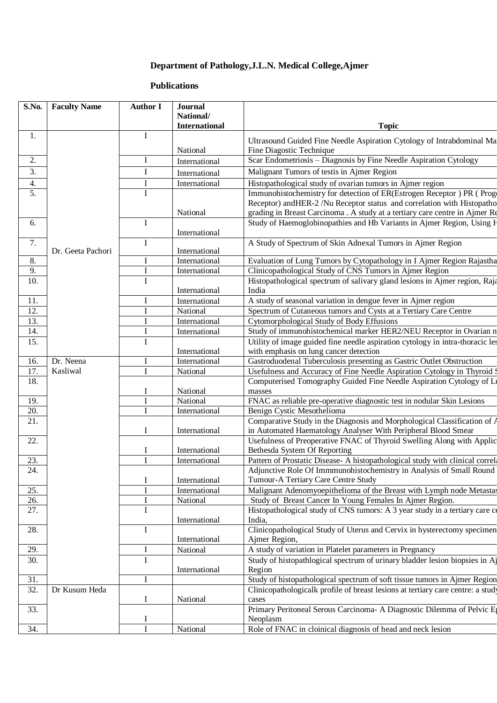## **Department of Pathology,J.L.N. Medical College,Ajmer**

## **Publications**

| S.No.            | <b>Faculty Name</b> | <b>Author I</b> | <b>Journal</b>                 |                                                                                                                                  |
|------------------|---------------------|-----------------|--------------------------------|----------------------------------------------------------------------------------------------------------------------------------|
|                  |                     |                 | National/                      |                                                                                                                                  |
|                  |                     |                 | <b>International</b>           | <b>Topic</b>                                                                                                                     |
| 1.               |                     | $\bf I$         |                                | Ultrasound Guided Fine Needle Aspiration Cytology of Intrabdominal Ma                                                            |
|                  |                     |                 | National                       | Fine Diagostic Technique                                                                                                         |
| 2.               |                     | Ι               | International                  | Scar Endometriosis - Diagnosis by Fine Needle Aspiration Cytology                                                                |
| $\overline{3}$ . |                     | I               | International                  | Malignant Tumors of testis in Ajmer Region                                                                                       |
| 4.               |                     | I               | International                  | Histopathological study of ovarian tumors in Ajmer region                                                                        |
| 5.               |                     | I               |                                | Immunohistochemistry for detection of ER(Estrogen Receptor) PR (Prog                                                             |
|                  |                     |                 |                                | Receptor) and HER-2 /Nu Receptor status and correlation with Histopatho                                                          |
|                  |                     |                 | National                       | grading in Breast Carcinoma . A study at a tertiary care centre in Ajmer Re                                                      |
| 6.               |                     | I               |                                | Study of Haemoglobinopathies and Hb Variants in Ajmer Region, Using H                                                            |
|                  |                     |                 | International                  |                                                                                                                                  |
| 7.               |                     | Ι               |                                | A Study of Spectrum of Skin Adnexal Tumors in Ajmer Region                                                                       |
| 8.               | Dr. Geeta Pachori   | I               | International                  |                                                                                                                                  |
| 9.               |                     | $\mathbf I$     | International<br>International | Evaluation of Lung Tumors by Cytopathology in I Ajmer Region Rajastha<br>Clinicopathological Study of CNS Tumors in Ajmer Region |
| 10.              |                     | $\overline{I}$  |                                | Histopathological spectrum of salivary gland lesions in Ajmer region, Raja                                                       |
|                  |                     |                 | International                  | India                                                                                                                            |
| 11.              |                     | I               | International                  | A study of seasonal variation in dengue fever in Ajmer region                                                                    |
| 12.              |                     | T               | National                       | Spectrum of Cutaneous tumors and Cysts at a Tertiary Care Centre                                                                 |
| 13.              |                     |                 | International                  | Cytomorphological Study of Body Effusions                                                                                        |
| 14.              |                     | I               | International                  | Study of immunohistochemical marker HER2/NEU Receptor in Ovarian n                                                               |
| 15.              |                     | I               |                                | Utility of image guided fine needle aspiration cytology in intra-thoracic les                                                    |
|                  |                     |                 | International                  | with emphasis on lung cancer detection                                                                                           |
| 16.              | Dr. Neena           | I               | International                  | Gastroduodenal Tuberculosis presenting as Gastric Outlet Obstruction                                                             |
| 17.              | Kasliwal            | I               | National                       | Usefulness and Accuracy of Fine Needle Aspiration Cytology in Thyroid \$                                                         |
| 18.              |                     |                 |                                | Computerised Tomography Guided Fine Needle Aspiration Cytology of Li                                                             |
|                  |                     | I               | National                       | masses                                                                                                                           |
| 19.              |                     | $\mathbf I$     | National                       | FNAC as reliable pre-operative diagnostic test in nodular Skin Lesions                                                           |
| 20.              |                     | I               | International                  | Benign Cystic Mesothelioma                                                                                                       |
| 21.              |                     |                 |                                | Comparative Study in the Diagnosis and Morphological Classification of A                                                         |
|                  |                     | I               | International                  | in Automated Haematology Analyser With Peripheral Blood Smear                                                                    |
| 22.              |                     |                 |                                | Usefulness of Preoperative FNAC of Thyroid Swelling Along with Applic                                                            |
|                  |                     | Ι               | International                  | Bethesda System Of Reporting                                                                                                     |
| 23.              |                     | T               | International                  | Pattern of Prostatic Disease- A histopathological study with clinical correla                                                    |
| 24.              |                     |                 |                                | Adjunctive Role Of Immmunohistochemistry in Analysis of Small Round                                                              |
|                  |                     | I               | International                  | Tumour-A Tertiary Care Centre Study                                                                                              |
| 25.              |                     | I               | International                  | Malignant Adenomyoepithelioma of the Breast with Lymph node Metastas                                                             |
| 26.<br>27.       |                     | I<br>I          | National                       | Study of Breast Cancer In Young Females In Ajmer Region.                                                                         |
|                  |                     |                 | International                  | Histopathological study of CNS tumors: A 3 year study in a tertiary care of<br>India,                                            |
| 28.              |                     | $\mathbf I$     |                                | Clinicopathological Study of Uterus and Cervix in hysterectomy specimen                                                          |
|                  |                     |                 | International                  | Ajmer Region,                                                                                                                    |
| 29.              |                     | I               | National                       | A study of variation in Platelet parameters in Pregnancy                                                                         |
| 30.              |                     | $\mathbf I$     |                                | Study of histopathlogical spectrum of urinary bladder lesion biopsies in Aj                                                      |
|                  |                     |                 | International                  | Region                                                                                                                           |
| 31.              |                     | I               |                                | Study of histopathological spectrum of soft tissue tumors in Ajmer Region                                                        |
| 32.              | Dr Kusum Heda       |                 |                                | Clinicopathologicalk profile of breast lesions at tertiary care centre: a study                                                  |
|                  |                     | I               | National                       | cases                                                                                                                            |
| 33.              |                     |                 |                                | Primary Peritoneal Serous Carcinoma- A Diagnostic Dilemma of Pelvic E                                                            |
|                  |                     | $\bf{l}$        |                                | Neoplasm                                                                                                                         |
| 34.              |                     | $\mathbf I$     | National                       | Role of FNAC in cloinical diagnosis of head and neck lesion                                                                      |